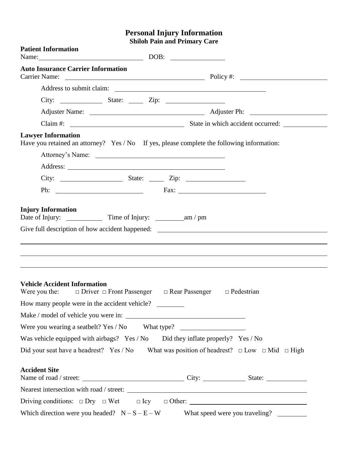## **Personal Injury Information Shiloh Pain and Primary Care**

| <b>Patient Information</b><br>Name: DOB: DOB: |                                                                                                          |
|-----------------------------------------------|----------------------------------------------------------------------------------------------------------|
| <b>Auto Insurance Carrier Information</b>     |                                                                                                          |
|                                               |                                                                                                          |
|                                               |                                                                                                          |
|                                               |                                                                                                          |
|                                               |                                                                                                          |
|                                               |                                                                                                          |
| <b>Lawyer Information</b>                     | Have you retained an attorney? Yes / No If yes, please complete the following information:               |
|                                               |                                                                                                          |
|                                               |                                                                                                          |
|                                               |                                                                                                          |
|                                               | Ph: $\overline{\phantom{a}}$ Fax: $\overline{\phantom{a}}$                                               |
| <b>Vehicle Accident Information</b>           |                                                                                                          |
|                                               | Were you the: $\Box$ Driver $\Box$ Front Passenger $\Box$ Rear Passenger $\Box$ Pedestrian               |
| How many people were in the accident vehicle? |                                                                                                          |
|                                               |                                                                                                          |
|                                               | Were you wearing a seatbelt? Yes / No What type? _______________________________                         |
|                                               | Was vehicle equipped with airbags? Yes / No Did they inflate properly? Yes / No                          |
|                                               | Did your seat have a headrest? Yes / No What was position of headrest? $\Box$ Low $\Box$ Mid $\Box$ High |
| <b>Accident Site</b>                          |                                                                                                          |
|                                               |                                                                                                          |
|                                               |                                                                                                          |
|                                               | Which direction were you headed? $N-S-E-W$ What speed were you traveling?                                |